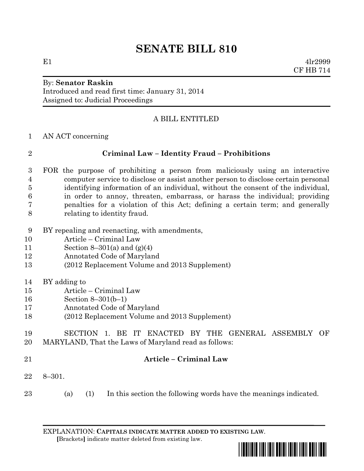# **SENATE BILL 810**

By: **Senator Raskin**

Introduced and read first time: January 31, 2014 Assigned to: Judicial Proceedings

## A BILL ENTITLED

AN ACT concerning

#### **Criminal Law – Identity Fraud – Prohibitions**

 FOR the purpose of prohibiting a person from maliciously using an interactive computer service to disclose or assist another person to disclose certain personal identifying information of an individual, without the consent of the individual, in order to annoy, threaten, embarrass, or harass the individual; providing penalties for a violation of this Act; defining a certain term; and generally relating to identity fraud.

- BY repealing and reenacting, with amendments,
- Article Criminal Law
- 11 Section 8–301(a) and  $(g)(4)$
- Annotated Code of Maryland
- (2012 Replacement Volume and 2013 Supplement)
- BY adding to
- Article Criminal Law
- Section 8–301(b–1)
- Annotated Code of Maryland
- (2012 Replacement Volume and 2013 Supplement)
- SECTION 1. BE IT ENACTED BY THE GENERAL ASSEMBLY OF MARYLAND, That the Laws of Maryland read as follows:
- 

## **Article – Criminal Law**

- 8–301.
- (a) (1) In this section the following words have the meanings indicated.

EXPLANATION: **CAPITALS INDICATE MATTER ADDED TO EXISTING LAW**.  **[**Brackets**]** indicate matter deleted from existing law.

<u>\* SB0810810 10810 10810 10811 10811 10811 10811 10811 10811 10811 10811 10811 10811 10811 10811 10811 10811 1</u>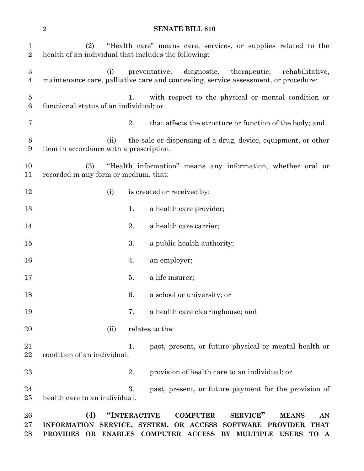| $\mathbf 1$<br>$\overline{2}$ | (2)<br>health of an individual that includes the following:                                                 |              | "Health care" means care, services, or supplies related to the                                                                                |  |
|-------------------------------|-------------------------------------------------------------------------------------------------------------|--------------|-----------------------------------------------------------------------------------------------------------------------------------------------|--|
| $\boldsymbol{3}$<br>4         |                                                                                                             | (i)          | preventative, diagnostic, therapeutic, rehabilitative,<br>maintenance care, palliative care and counseling, service assessment, or procedure: |  |
| 5<br>6                        | with respect to the physical or mental condition or<br>1.<br>functional status of an individual; or         |              |                                                                                                                                               |  |
| 7                             |                                                                                                             | 2.           | that affects the structure or function of the body; and                                                                                       |  |
| 8<br>9                        | item in accordance with a prescription.                                                                     | (ii)         | the sale or dispensing of a drug, device, equipment, or other                                                                                 |  |
| 10<br>11                      | "Health information" means any information, whether oral or<br>(3)<br>recorded in any form or medium, that: |              |                                                                                                                                               |  |
| 12                            |                                                                                                             | (i)          | is created or received by:                                                                                                                    |  |
| 13                            |                                                                                                             | 1.           | a health care provider;                                                                                                                       |  |
| 14                            |                                                                                                             | 2.           | a health care carrier;                                                                                                                        |  |
| 15                            |                                                                                                             | 3.           | a public health authority;                                                                                                                    |  |
| 16                            |                                                                                                             | 4.           | an employer;                                                                                                                                  |  |
| 17                            |                                                                                                             | 5.           | a life insurer;                                                                                                                               |  |
| 18                            |                                                                                                             | 6.           | a school or university; or                                                                                                                    |  |
| 19                            |                                                                                                             | 7.           | a health care clearinghouse; and                                                                                                              |  |
| 20                            |                                                                                                             | (ii)         | relates to the:                                                                                                                               |  |
| 21<br>22                      | condition of an individual;                                                                                 | 1.           | past, present, or future physical or mental health or                                                                                         |  |
| 23                            |                                                                                                             | 2.           | provision of health care to an individual; or                                                                                                 |  |
| 24<br>25                      | health care to an individual.                                                                               | 3.           | past, present, or future payment for the provision of                                                                                         |  |
| 26                            | (4)                                                                                                         | "INTERACTIVE | <b>COMPUTER</b><br>SERVICE"<br><b>MEANS</b><br>AN                                                                                             |  |

**SENATE BILL 810**

 **INFORMATION SERVICE, SYSTEM, OR ACCESS SOFTWARE PROVIDER THAT PROVIDES OR ENABLES COMPUTER ACCESS BY MULTIPLE USERS TO A**